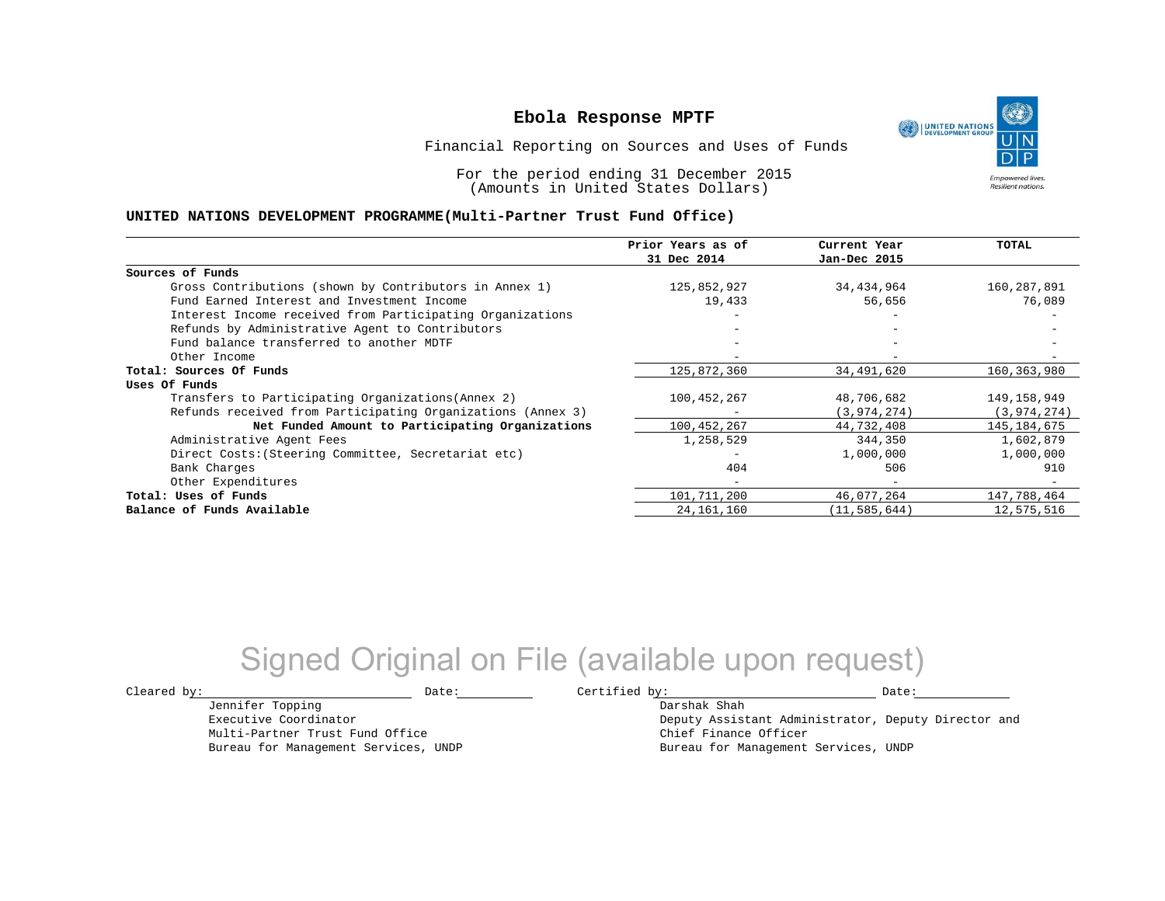UNITED NATIONS **Empowered lives Resilient nations.** 

Financial Reporting on Sources and Uses of Funds

For the period ending 31 December 2015 (Amounts in United States Dollars)

#### **UNITED NATIONS DEVELOPMENT PROGRAMME(Multi-Partner Trust Fund Office)**

|                                                             | Prior Years as of | Current Year   | <b>TOTAL</b>  |
|-------------------------------------------------------------|-------------------|----------------|---------------|
|                                                             | 31 Dec 2014       | Jan-Dec 2015   |               |
| Sources of Funds                                            |                   |                |               |
| Gross Contributions (shown by Contributors in Annex 1)      | 125,852,927       | 34,434,964     | 160,287,891   |
| Fund Earned Interest and Investment Income                  | 19,433            | 56,656         | 76,089        |
| Interest Income received from Participating Organizations   |                   |                |               |
| Refunds by Administrative Agent to Contributors             |                   |                |               |
| Fund balance transferred to another MDTF                    |                   | $-$            |               |
| Other Income                                                |                   |                |               |
| Total: Sources Of Funds                                     | 125,872,360       | 34,491,620     | 160,363,980   |
| Uses Of Funds                                               |                   |                |               |
| Transfers to Participating Organizations (Annex 2)          | 100,452,267       | 48,706,682     | 149,158,949   |
| Refunds received from Participating Organizations (Annex 3) |                   | (3, 974, 274)  | (3, 974, 274) |
| Net Funded Amount to Participating Organizations            | 100, 452, 267     | 44,732,408     | 145, 184, 675 |
| Administrative Agent Fees                                   | 1,258,529         | 344,350        | 1,602,879     |
| Direct Costs: (Steering Committee, Secretariat etc)         |                   | 1,000,000      | 1,000,000     |
| Bank Charges                                                | 404               | 506            | 910           |
| Other Expenditures                                          | $-$               | $-$            |               |
| Total: Uses of Funds                                        | 101,711,200       | 46,077,264     | 147,788,464   |
| Balance of Funds Available                                  | 24, 161, 160      | (11, 585, 644) | 12,575,516    |

## Signed Original on File (available upon request)

Jennifer Topping Executive Coordinator

Multi-Partner Trust Fund Office Bureau for Management Services, UNDP

 $\texttt{Cleared by:}\footnotesize \begin{minipage}{0.9\linewidth} \texttt{Date:}\footnotesize \begin{minipage}{0.9\linewidth} \texttt{Date:}\footnotesize \begin{minipage}{0.9\linewidth} \end{minipage} \end{minipage}$ 

Darshak Shah Deputy Assistant Administrator, Deputy Director and Chief Finance Officer Bureau for Management Services, UNDP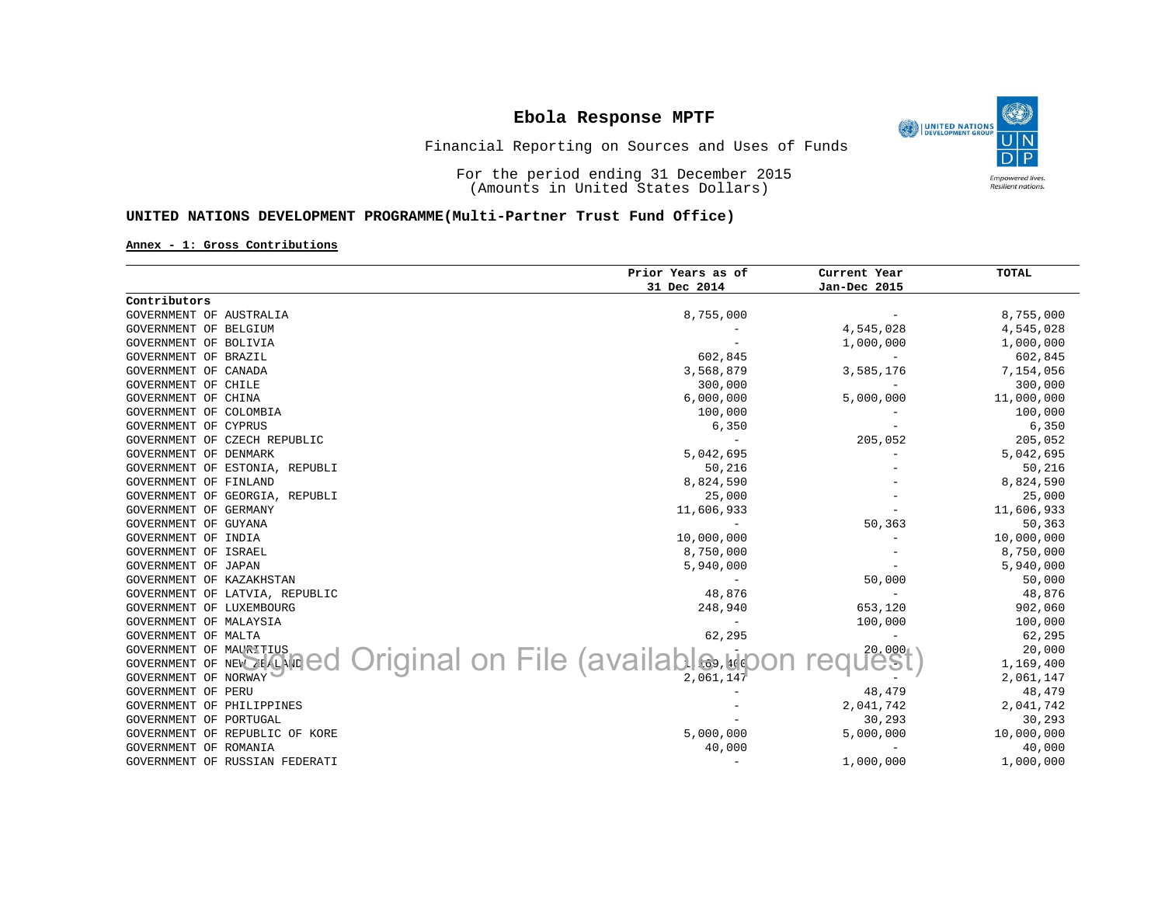

Financial Reporting on Sources and Uses of Funds

For the period ending 31 December 2015 (Amounts in United States Dollars)

### **UNITED NATIONS DEVELOPMENT PROGRAMME(Multi-Partner Trust Fund Office)**

#### **Annex - 1: Gross Contributions**

|                                            | Prior Years as of              | Current Year             | TOTAL      |
|--------------------------------------------|--------------------------------|--------------------------|------------|
|                                            | 31 Dec 2014                    | Jan-Dec 2015             |            |
| Contributors                               |                                |                          |            |
| GOVERNMENT OF AUSTRALIA                    | 8,755,000                      |                          | 8,755,000  |
| GOVERNMENT OF BELGIUM                      |                                | 4,545,028                | 4,545,028  |
| GOVERNMENT OF BOLIVIA                      |                                | 1,000,000                | 1,000,000  |
| GOVERNMENT OF BRAZIL                       | 602,845                        | $\overline{\phantom{0}}$ | 602,845    |
| GOVERNMENT OF CANADA                       | 3,568,879                      | 3,585,176                | 7,154,056  |
| GOVERNMENT OF CHILE                        | 300,000                        |                          | 300,000    |
| GOVERNMENT OF CHINA                        | 6,000,000                      | 5,000,000                | 11,000,000 |
| GOVERNMENT OF COLOMBIA                     | 100,000                        |                          | 100,000    |
| GOVERNMENT OF CYPRUS                       | 6,350                          |                          | 6,350      |
| GOVERNMENT OF CZECH REPUBLIC               |                                | 205,052                  | 205,052    |
| GOVERNMENT OF DENMARK                      | 5,042,695                      |                          | 5,042,695  |
| GOVERNMENT OF ESTONIA, REPUBLI             | 50,216                         |                          | 50,216     |
| GOVERNMENT OF FINLAND                      | 8,824,590                      |                          | 8,824,590  |
| GOVERNMENT OF GEORGIA, REPUBLI             | 25,000                         |                          | 25,000     |
| GOVERNMENT OF GERMANY                      | 11,606,933                     |                          | 11,606,933 |
| GOVERNMENT OF GUYANA                       | $\overline{\phantom{a}}$       | 50,363                   | 50,363     |
| GOVERNMENT OF INDIA                        | 10,000,000                     |                          | 10,000,000 |
| GOVERNMENT OF ISRAEL                       | 8,750,000                      |                          | 8,750,000  |
| GOVERNMENT OF JAPAN                        | 5,940,000                      |                          | 5,940,000  |
| GOVERNMENT OF KAZAKHSTAN                   |                                | 50,000                   | 50,000     |
| GOVERNMENT OF LATVIA, REPUBLIC             | 48,876                         |                          | 48,876     |
| GOVERNMENT OF LUXEMBOURG                   | 248,940                        | 653,120                  | 902,060    |
| GOVERNMENT OF MALAYSIA                     |                                | 100,000                  | 100,000    |
| GOVERNMENT OF MALTA                        | 62,295                         | ÷.                       | 62,295     |
| <b>GOVERNMENT OF MAURITIUS</b>             |                                | 20,000                   | 20,000     |
| GOVERNMENT OF<br>NEW <b><i>ZEALAND</i></b> | Original on File (available பி |                          | 1,169,400  |
| GOVERNMENT OF NORWAY                       | 2,061,147                      |                          | 2,061,147  |
| GOVERNMENT OF PERU                         |                                | 48,479                   | 48,479     |
| GOVERNMENT OF PHILIPPINES                  |                                | 2,041,742                | 2,041,742  |
| GOVERNMENT OF PORTUGAL                     |                                | 30,293                   | 30,293     |
| GOVERNMENT OF REPUBLIC OF KORE             | 5,000,000                      | 5,000,000                | 10,000,000 |
| GOVERNMENT OF ROMANIA                      | 40,000                         | $\overline{\phantom{0}}$ | 40,000     |
| GOVERNMENT OF RUSSIAN FEDERATI             | $\overline{\phantom{a}}$       | 1,000,000                | 1,000,000  |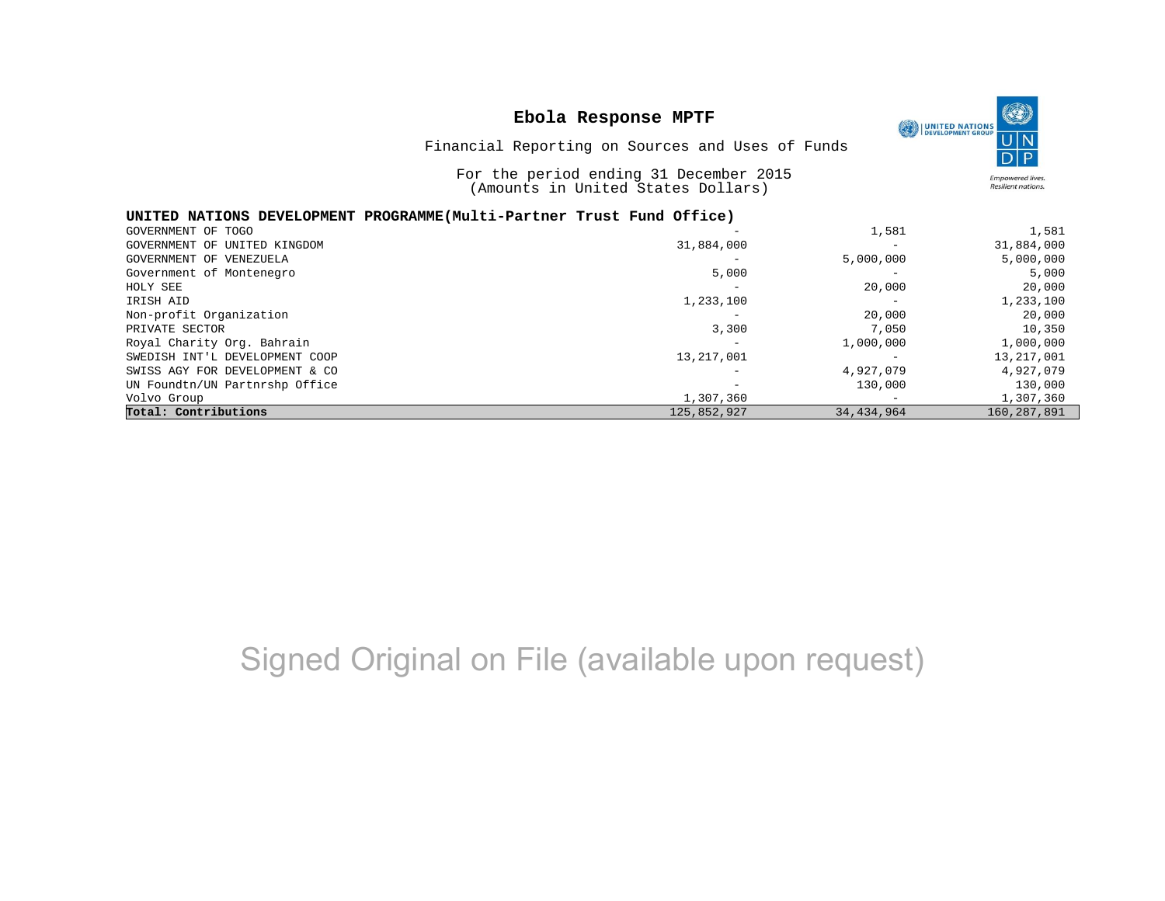|                                | Ebola Response MPTF                                                          |           | <b>UNITED NATIONS</b><br>DEVELOPMENT GROUP          |
|--------------------------------|------------------------------------------------------------------------------|-----------|-----------------------------------------------------|
|                                | Financial Reporting on Sources and Uses of Funds                             |           |                                                     |
|                                | For the period ending 31 December 2015<br>(Amounts in United States Dollars) |           | <b>Empowered lives</b><br><b>Resilient nations.</b> |
|                                | UNITED NATIONS DEVELOPMENT PROGRAMME(Multi-Partner Trust Fund Office)        |           |                                                     |
| GOVERNMENT OF TOGO             |                                                                              | 1,581     | 1,581                                               |
| GOVERNMENT OF UNITED KINGDOM   | 31,884,000                                                                   |           | 31,884,000                                          |
| GOVERNMENT OF VENEZUELA        |                                                                              | 5,000,000 | 5,000,000                                           |
| Government of Montenegro       | 5,000                                                                        |           | 5,000                                               |
| HOLY SEE                       |                                                                              | 20,000    | 20,000                                              |
| IRISH AID                      | 1,233,100                                                                    |           | 1,233,100                                           |
| Non-profit Organization        |                                                                              | 20,000    | 20,000                                              |
| PRIVATE SECTOR                 | 3,300                                                                        | 7,050     | 10,350                                              |
| Royal Charity Org. Bahrain     |                                                                              | 1,000,000 | 1,000,000                                           |
| SWEDISH INT'L DEVELOPMENT COOP | 13, 217, 001                                                                 |           | 13,217,001                                          |
| SWISS AGY FOR DEVELOPMENT & CO |                                                                              | 4,927,079 | 4,927,079                                           |
| UN Foundtn/UN Partnrshp Office |                                                                              | 130,000   | 130,000                                             |
| Volvo Group                    | 1,307,360                                                                    |           | 1,307,360                                           |

**Total: Contributions** 125,852,927 34,434,964 160,287,891

## Signed Original on File (available upon request)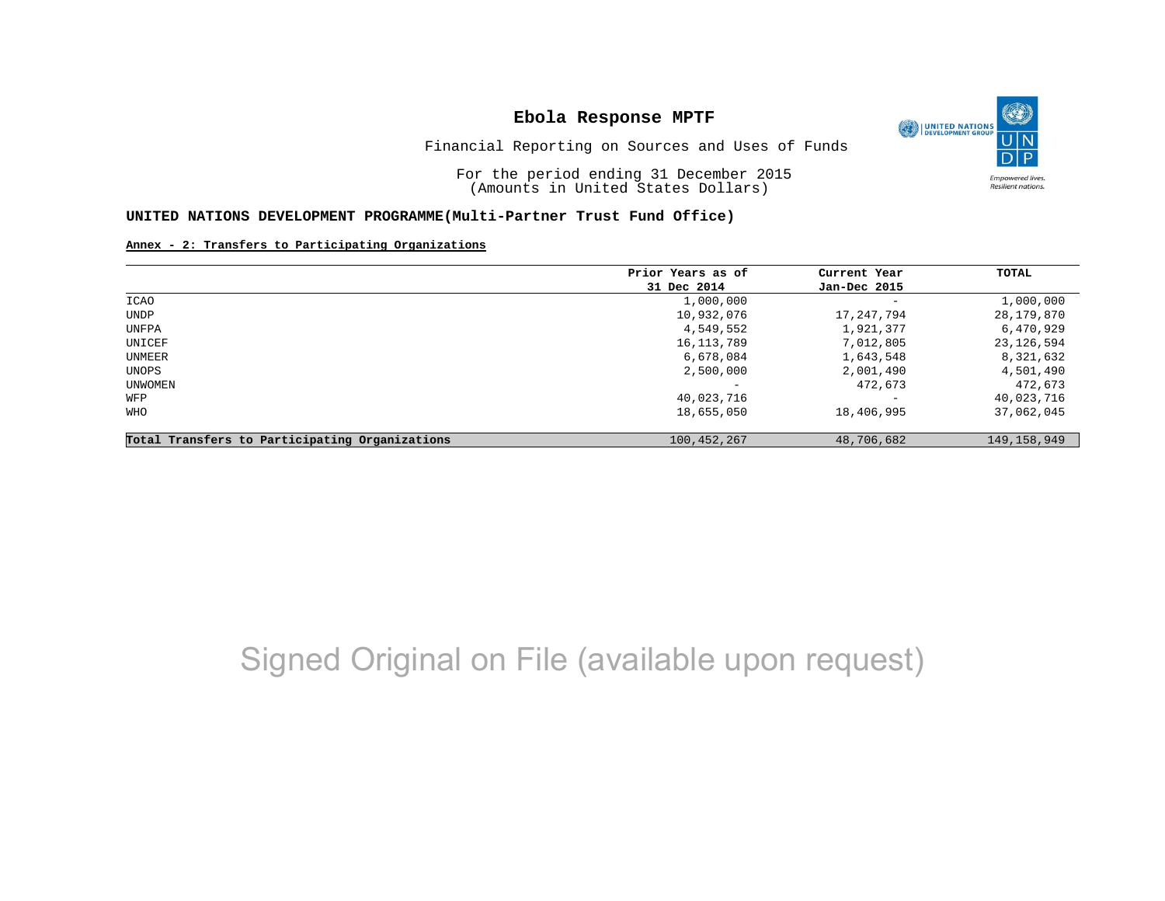

Financial Reporting on Sources and Uses of Funds

For the period ending 31 December 2015 (Amounts in United States Dollars)

#### **UNITED NATIONS DEVELOPMENT PROGRAMME(Multi-Partner Trust Fund Office)**

**Annex - 2: Transfers to Participating Organizations**

|                                                   | Prior Years as of | Current Year             | TOTAL         |
|---------------------------------------------------|-------------------|--------------------------|---------------|
|                                                   | 31 Dec 2014       | Jan-Dec 2015             |               |
| ICAO                                              | 1,000,000         | $\overline{\phantom{m}}$ | 1,000,000     |
| UNDP                                              | 10,932,076        | 17,247,794               | 28,179,870    |
| UNFPA                                             | 4,549,552         | 1,921,377                | 6,470,929     |
| UNICEF                                            | 16, 113, 789      | 7,012,805                | 23,126,594    |
| UNMEER                                            | 6,678,084         | 1,643,548                | 8,321,632     |
| UNOPS                                             | 2,500,000         | 2,001,490                | 4,501,490     |
| UNWOMEN                                           |                   | 472,673                  | 472,673       |
| WFP                                               | 40,023,716        |                          | 40,023,716    |
| WHO                                               | 18,655,050        | 18,406,995               | 37,062,045    |
| Participating Organizations<br>Total Transfers to | 100,452,267       | 48,706,682               | 149, 158, 949 |

## Signed Original on File (available upon request)